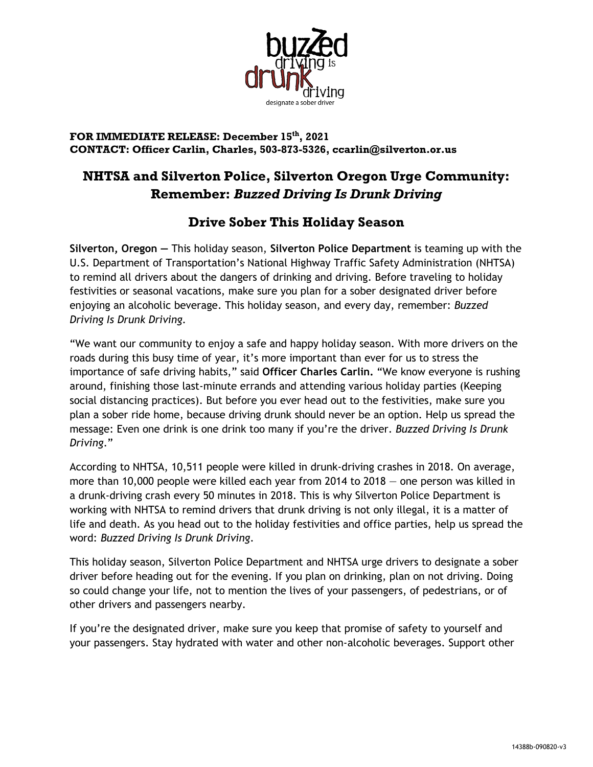

## **FOR IMMEDIATE RELEASE: December 15th, 2021 CONTACT: Officer Carlin, Charles, 503-873-5326, ccarlin@silverton.or.us**

## **NHTSA and Silverton Police, Silverton Oregon Urge Community: Remember:** *Buzzed Driving Is Drunk Driving*

## **Drive Sober This Holiday Season**

**Silverton, Oregon —** This holiday season, **Silverton Police Department** is teaming up with the U.S. Department of Transportation's National Highway Traffic Safety Administration (NHTSA) to remind all drivers about the dangers of drinking and driving. Before traveling to holiday festivities or seasonal vacations, make sure you plan for a sober designated driver before enjoying an alcoholic beverage. This holiday season, and every day, remember: *Buzzed Driving Is Drunk Driving.*

"We want our community to enjoy a safe and happy holiday season. With more drivers on the roads during this busy time of year, it's more important than ever for us to stress the importance of safe driving habits," said **Officer Charles Carlin.** "We know everyone is rushing around, finishing those last-minute errands and attending various holiday parties (Keeping social distancing practices). But before you ever head out to the festivities, make sure you plan a sober ride home, because driving drunk should never be an option. Help us spread the message: Even one drink is one drink too many if you're the driver. *Buzzed Driving Is Drunk Driving*."

According to NHTSA, 10,511 people were killed in drunk-driving crashes in 2018. On average, more than 10,000 people were killed each year from 2014 to 2018 — one person was killed in a drunk-driving crash every 50 minutes in 2018. This is why Silverton Police Department is working with NHTSA to remind drivers that drunk driving is not only illegal, it is a matter of life and death. As you head out to the holiday festivities and office parties, help us spread the word: *Buzzed Driving Is Drunk Driving*.

This holiday season, Silverton Police Department and NHTSA urge drivers to designate a sober driver before heading out for the evening. If you plan on drinking, plan on not driving. Doing so could change your life, not to mention the lives of your passengers, of pedestrians, or of other drivers and passengers nearby.

If you're the designated driver, make sure you keep that promise of safety to yourself and your passengers. Stay hydrated with water and other non-alcoholic beverages. Support other